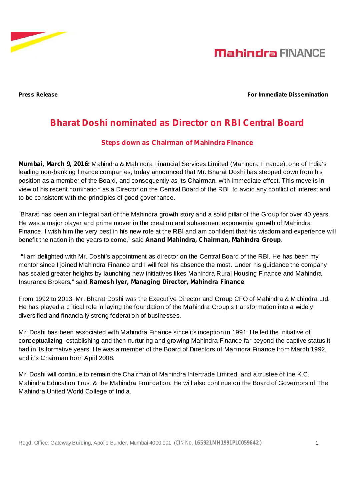



#### **Press Release For Immediate Dissemination**

## **Bharat Doshi nominated as Director on RBI Central Board**

### **Steps down as Chairman of Mahindra Finance**

**Mumbai, March 9, 2016:** Mahindra & Mahindra Financial Services Limited (Mahindra Finance), one of India's leading non-banking finance companies, today announced that Mr. Bharat Doshi has stepped down from his position as a member of the Board, and consequently as its Chairman, with immediate effect. This move is in view of his recent nomination as a Director on the Central Board of the RBI, to avoid any conflict of interest and to be consistent with the principles of good governance.

"Bharat has been an integral part of the Mahindra growth story and a solid pillar of the Group for over 40 years. He was a major player and prime mover in the creation and subsequent exponential growth of Mahindra Finance. I wish him the very best in his new role at the RBI and am confident that his wisdom and experience will benefit the nation in the years to come," said Anand Mahindra, Chairman, Mahindra Group.

I am delighted with Mr. Doshi's appointment as director on the Central Board of the RBI. He has been my **"** mentor since I joined Mahindra Finance and I will feel his absence the most. Under his guidance the company has scaled greater heights by launching new initiatives likes Mahindra Rural Housing Finance and Mahindra Insurance Brokers," said Ramesh lyer, Managing Director, Mahindra Finance.

From 1992 to 2013, Mr. Bharat Doshi was the Executive Director and Group CFO of Mahindra & Mahindra Ltd. He has played a critical role in laying the foundation of the Mahindra Group's transformation into a widely diversified and financially strong federation of businesses.

Mr. Doshi has been associated with Mahindra Finance since its inception in 1991. He led the initiative of conceptualizing, establishing and then nurturing and growing Mahindra Finance far beyond the captive status it had in its formative years. He was a member of the Board of Directors of Mahindra Finance from March 1992, and it's Chairman from April 2008.

Mr. Doshi will continue to remain the Chairman of Mahindra Intertrade Limited, and a trustee of the K.C. Mahindra Education Trust & the Mahindra Foundation. He will also continue on the Board of Governors of The Mahindra United World College of India.